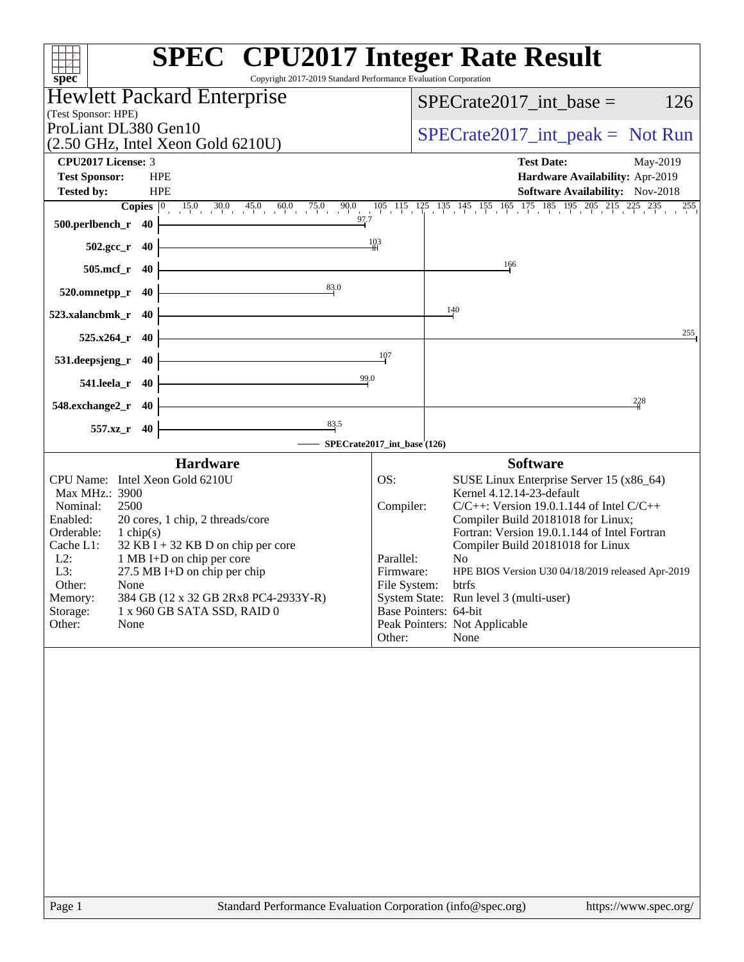| <b>SPEC<sup>®</sup></b> CPU2017 Integer Rate Result<br>Copyright 2017-2019 Standard Performance Evaluation Corporation<br>spec <sup>®</sup>                                                                                                                                                                                                                                                                             |                                                                      |                                                                                                                                                                                                                                                                                                                                                                                                                                   |  |  |  |
|-------------------------------------------------------------------------------------------------------------------------------------------------------------------------------------------------------------------------------------------------------------------------------------------------------------------------------------------------------------------------------------------------------------------------|----------------------------------------------------------------------|-----------------------------------------------------------------------------------------------------------------------------------------------------------------------------------------------------------------------------------------------------------------------------------------------------------------------------------------------------------------------------------------------------------------------------------|--|--|--|
| Hewlett Packard Enterprise                                                                                                                                                                                                                                                                                                                                                                                              |                                                                      | $SPECrate2017$ int base =<br>126                                                                                                                                                                                                                                                                                                                                                                                                  |  |  |  |
| (Test Sponsor: HPE)                                                                                                                                                                                                                                                                                                                                                                                                     |                                                                      |                                                                                                                                                                                                                                                                                                                                                                                                                                   |  |  |  |
| ProLiant DL380 Gen10<br>(2.50 GHz, Intel Xeon Gold 6210U)                                                                                                                                                                                                                                                                                                                                                               |                                                                      | $SPECrate2017\_int\_peak = Not Run$                                                                                                                                                                                                                                                                                                                                                                                               |  |  |  |
| CPU2017 License: 3                                                                                                                                                                                                                                                                                                                                                                                                      |                                                                      | <b>Test Date:</b><br>May-2019                                                                                                                                                                                                                                                                                                                                                                                                     |  |  |  |
| <b>HPE</b><br><b>Test Sponsor:</b>                                                                                                                                                                                                                                                                                                                                                                                      |                                                                      | Hardware Availability: Apr-2019                                                                                                                                                                                                                                                                                                                                                                                                   |  |  |  |
| <b>Tested by:</b><br><b>HPE</b>                                                                                                                                                                                                                                                                                                                                                                                         |                                                                      | Software Availability: Nov-2018<br>255                                                                                                                                                                                                                                                                                                                                                                                            |  |  |  |
| 97.7<br>500.perlbench_r 40                                                                                                                                                                                                                                                                                                                                                                                              |                                                                      | <b>Copies</b> $\begin{bmatrix} 0 & 15.0 & 30.0 & 45.0 & 60.0 & 75.0 & 90.0 & 105 & 115 & 125 & 135 & 145 & 155 & 165 & 175 & 185 & 195 & 205 & 215 & 225 & 235 \end{bmatrix}$                                                                                                                                                                                                                                                     |  |  |  |
| $502.\text{gcc}_r$ 40                                                                                                                                                                                                                                                                                                                                                                                                   | 103                                                                  |                                                                                                                                                                                                                                                                                                                                                                                                                                   |  |  |  |
| $505$ .mcf_r<br>- 40                                                                                                                                                                                                                                                                                                                                                                                                    |                                                                      | 166                                                                                                                                                                                                                                                                                                                                                                                                                               |  |  |  |
| 83.0<br>520.omnetpp_r<br>40                                                                                                                                                                                                                                                                                                                                                                                             |                                                                      |                                                                                                                                                                                                                                                                                                                                                                                                                                   |  |  |  |
|                                                                                                                                                                                                                                                                                                                                                                                                                         |                                                                      | 140                                                                                                                                                                                                                                                                                                                                                                                                                               |  |  |  |
| 523.xalancbmk r<br>40                                                                                                                                                                                                                                                                                                                                                                                                   |                                                                      | 255                                                                                                                                                                                                                                                                                                                                                                                                                               |  |  |  |
| $525.x264$ r<br>40                                                                                                                                                                                                                                                                                                                                                                                                      | 107                                                                  |                                                                                                                                                                                                                                                                                                                                                                                                                                   |  |  |  |
| 531.deepsjeng_r<br>40                                                                                                                                                                                                                                                                                                                                                                                                   |                                                                      |                                                                                                                                                                                                                                                                                                                                                                                                                                   |  |  |  |
| 99.0<br>541.leela_r 40                                                                                                                                                                                                                                                                                                                                                                                                  |                                                                      |                                                                                                                                                                                                                                                                                                                                                                                                                                   |  |  |  |
| 548.exchange2_r<br>- 40                                                                                                                                                                                                                                                                                                                                                                                                 |                                                                      | 228                                                                                                                                                                                                                                                                                                                                                                                                                               |  |  |  |
| $\frac{83.5}{2}$<br>557.xz_r 40                                                                                                                                                                                                                                                                                                                                                                                         |                                                                      |                                                                                                                                                                                                                                                                                                                                                                                                                                   |  |  |  |
| <b>Hardware</b>                                                                                                                                                                                                                                                                                                                                                                                                         | SPECrate2017_int_base (126)                                          | <b>Software</b>                                                                                                                                                                                                                                                                                                                                                                                                                   |  |  |  |
| CPU Name: Intel Xeon Gold 6210U<br>Max MHz.: 3900<br>Nominal:<br>2500<br>Enabled:<br>20 cores, 1 chip, 2 threads/core<br>Orderable:<br>1 chip(s)<br>$32$ KB I + 32 KB D on chip per core<br>Cache L1:<br>$L2$ :<br>1 MB I+D on chip per core<br>L3:<br>$27.5$ MB I+D on chip per chip<br>Other:<br>None<br>Memory:<br>384 GB (12 x 32 GB 2Rx8 PC4-2933Y-R)<br>Storage:<br>1 x 960 GB SATA SSD, RAID 0<br>Other:<br>None | OS:<br>Compiler:<br>Parallel:<br>Firmware:<br>File System:<br>Other: | SUSE Linux Enterprise Server 15 (x86_64)<br>Kernel 4.12.14-23-default<br>$C/C++$ : Version 19.0.1.144 of Intel $C/C++$<br>Compiler Build 20181018 for Linux;<br>Fortran: Version 19.0.1.144 of Intel Fortran<br>Compiler Build 20181018 for Linux<br>No<br>HPE BIOS Version U30 04/18/2019 released Apr-2019<br>btrfs<br>System State: Run level 3 (multi-user)<br>Base Pointers: 64-bit<br>Peak Pointers: Not Applicable<br>None |  |  |  |
|                                                                                                                                                                                                                                                                                                                                                                                                                         |                                                                      |                                                                                                                                                                                                                                                                                                                                                                                                                                   |  |  |  |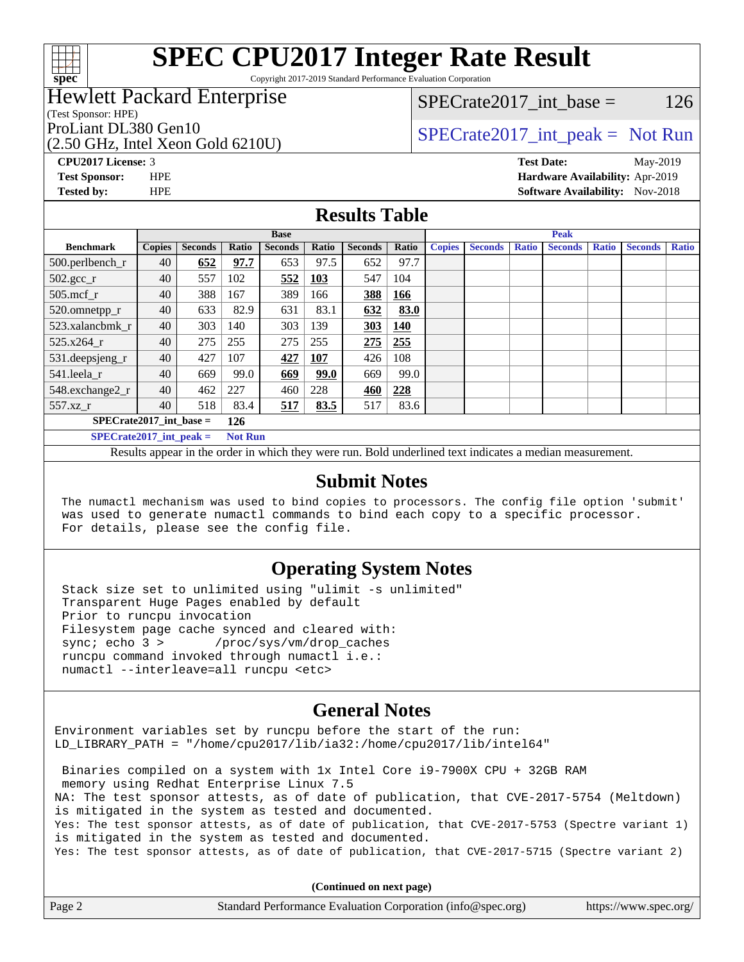

Copyright 2017-2019 Standard Performance Evaluation Corporation

### Hewlett Packard Enterprise

(Test Sponsor: HPE)

(2.50 GHz, Intel Xeon Gold 6210U)

 $SPECTate2017\_int\_base = 126$ 

### ProLiant DL380 Gen10  $SPECTA 50 \text{ GHz}$  [SPECrate2017\\_int\\_peak =](http://www.spec.org/auto/cpu2017/Docs/result-fields.html#SPECrate2017intpeak) Not Run

**[CPU2017 License:](http://www.spec.org/auto/cpu2017/Docs/result-fields.html#CPU2017License)** 3 **[Test Date:](http://www.spec.org/auto/cpu2017/Docs/result-fields.html#TestDate)** May-2019 **[Test Sponsor:](http://www.spec.org/auto/cpu2017/Docs/result-fields.html#TestSponsor)** HPE **[Hardware Availability:](http://www.spec.org/auto/cpu2017/Docs/result-fields.html#HardwareAvailability)** Apr-2019 **[Tested by:](http://www.spec.org/auto/cpu2017/Docs/result-fields.html#Testedby)** HPE **HPE [Software Availability:](http://www.spec.org/auto/cpu2017/Docs/result-fields.html#SoftwareAvailability)** Nov-2018

#### **[Results Table](http://www.spec.org/auto/cpu2017/Docs/result-fields.html#ResultsTable)**

|                               | <b>Base</b>   |                |                |                |            | <b>Peak</b>    |       |               |                |              |                |              |                |              |
|-------------------------------|---------------|----------------|----------------|----------------|------------|----------------|-------|---------------|----------------|--------------|----------------|--------------|----------------|--------------|
| <b>Benchmark</b>              | <b>Copies</b> | <b>Seconds</b> | Ratio          | <b>Seconds</b> | Ratio      | <b>Seconds</b> | Ratio | <b>Copies</b> | <b>Seconds</b> | <b>Ratio</b> | <b>Seconds</b> | <b>Ratio</b> | <b>Seconds</b> | <b>Ratio</b> |
| $500.$ perlbench_r            | 40            | 652            | 97.7           | 653            | 97.5       | 652            | 97.7  |               |                |              |                |              |                |              |
| $502.\text{sec}$ <sub>r</sub> | 40            | 557            | 102            | 552            | <b>103</b> | 547            | 104   |               |                |              |                |              |                |              |
| $505$ .mcf r                  | 40            | 388            | 167            | 389            | 166        | 388            | 166   |               |                |              |                |              |                |              |
| 520.omnetpp_r                 | 40            | 633            | 82.9           | 631            | 83.1       | 632            | 83.0  |               |                |              |                |              |                |              |
| 523.xalancbmk r               | 40            | 303            | 140            | 303            | 139        | 303            | 140   |               |                |              |                |              |                |              |
| $525.x264$ r                  | 40            | 275            | 255            | 275            | 255        | 275            | 255   |               |                |              |                |              |                |              |
| 531.deepsjeng_r               | 40            | 427            | 107            | 427            | 107        | 426            | 108   |               |                |              |                |              |                |              |
| 541.leela_r                   | 40            | 669            | 99.0           | 669            | 99.0       | 669            | 99.0  |               |                |              |                |              |                |              |
| 548.exchange2_r               | 40            | 462            | 227            | 460            | 228        | 460            | 228   |               |                |              |                |              |                |              |
| 557.xz r                      | 40            | 518            | 83.4           | 517            | 83.5       | 517            | 83.6  |               |                |              |                |              |                |              |
| $SPECrate2017$ int base =     |               |                | 126            |                |            |                |       |               |                |              |                |              |                |              |
| $SPECrate2017$ int peak =     |               |                | <b>Not Run</b> |                |            |                |       |               |                |              |                |              |                |              |

Results appear in the [order in which they were run.](http://www.spec.org/auto/cpu2017/Docs/result-fields.html#RunOrder) Bold underlined text [indicates a median measurement.](http://www.spec.org/auto/cpu2017/Docs/result-fields.html#Median)

#### **[Submit Notes](http://www.spec.org/auto/cpu2017/Docs/result-fields.html#SubmitNotes)**

 The numactl mechanism was used to bind copies to processors. The config file option 'submit' was used to generate numactl commands to bind each copy to a specific processor. For details, please see the config file.

#### **[Operating System Notes](http://www.spec.org/auto/cpu2017/Docs/result-fields.html#OperatingSystemNotes)**

 Stack size set to unlimited using "ulimit -s unlimited" Transparent Huge Pages enabled by default Prior to runcpu invocation Filesystem page cache synced and cleared with: sync; echo 3 > /proc/sys/vm/drop\_caches runcpu command invoked through numactl i.e.: numactl --interleave=all runcpu <etc>

#### **[General Notes](http://www.spec.org/auto/cpu2017/Docs/result-fields.html#GeneralNotes)**

Environment variables set by runcpu before the start of the run: LD\_LIBRARY\_PATH = "/home/cpu2017/lib/ia32:/home/cpu2017/lib/intel64"

 Binaries compiled on a system with 1x Intel Core i9-7900X CPU + 32GB RAM memory using Redhat Enterprise Linux 7.5 NA: The test sponsor attests, as of date of publication, that CVE-2017-5754 (Meltdown) is mitigated in the system as tested and documented. Yes: The test sponsor attests, as of date of publication, that CVE-2017-5753 (Spectre variant 1) is mitigated in the system as tested and documented. Yes: The test sponsor attests, as of date of publication, that CVE-2017-5715 (Spectre variant 2)

**(Continued on next page)**

| Page 2 | Standard Performance Evaluation Corporation (info@spec.org) | https://www.spec.org/ |
|--------|-------------------------------------------------------------|-----------------------|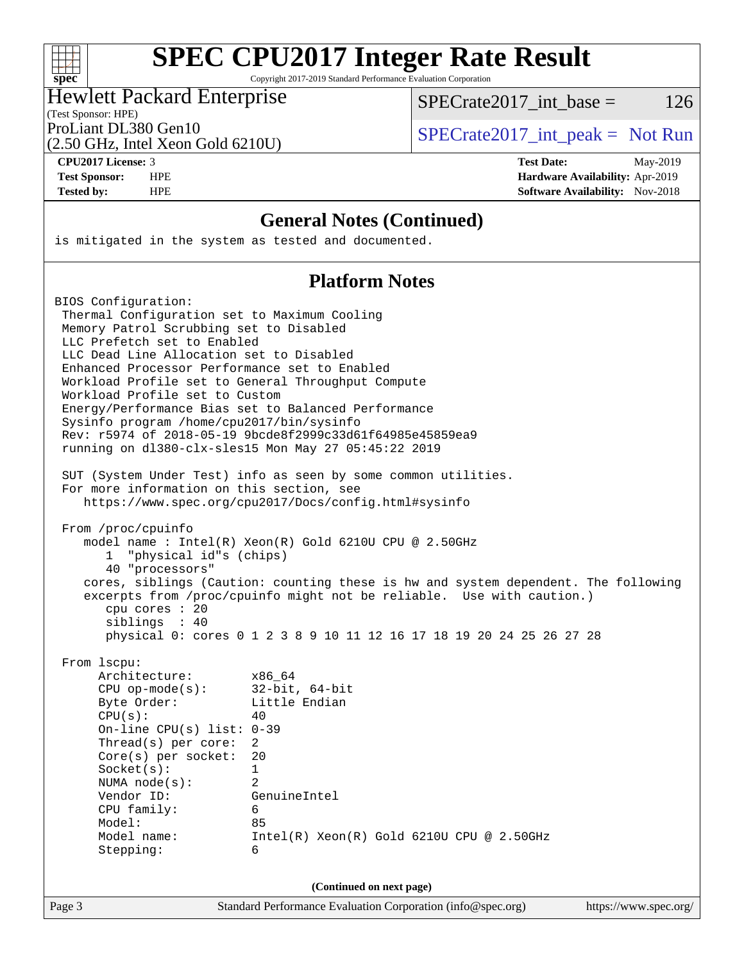| S | ١<br>U | ۱t | ۱. |  |
|---|--------|----|----|--|

Copyright 2017-2019 Standard Performance Evaluation Corporation

#### Hewlett Packard Enterprise

SPECrate  $2017$  int base = 126

#### (Test Sponsor: HPE)

(2.50 GHz, Intel Xeon Gold 6210U)

ProLiant DL380 Gen10  $SPECTA = 50 \text{ GHz}$  [SPECrate2017\\_int\\_peak =](http://www.spec.org/auto/cpu2017/Docs/result-fields.html#SPECrate2017intpeak) Not Run

**[CPU2017 License:](http://www.spec.org/auto/cpu2017/Docs/result-fields.html#CPU2017License)** 3 **[Test Date:](http://www.spec.org/auto/cpu2017/Docs/result-fields.html#TestDate)** May-2019 **[Test Sponsor:](http://www.spec.org/auto/cpu2017/Docs/result-fields.html#TestSponsor)** HPE **[Hardware Availability:](http://www.spec.org/auto/cpu2017/Docs/result-fields.html#HardwareAvailability)** Apr-2019 **[Tested by:](http://www.spec.org/auto/cpu2017/Docs/result-fields.html#Testedby)** HPE **HPE [Software Availability:](http://www.spec.org/auto/cpu2017/Docs/result-fields.html#SoftwareAvailability)** Nov-2018

#### **[General Notes \(Continued\)](http://www.spec.org/auto/cpu2017/Docs/result-fields.html#GeneralNotes)**

is mitigated in the system as tested and documented.

#### **[Platform Notes](http://www.spec.org/auto/cpu2017/Docs/result-fields.html#PlatformNotes)**

Page 3 Standard Performance Evaluation Corporation [\(info@spec.org\)](mailto:info@spec.org) <https://www.spec.org/> BIOS Configuration: Thermal Configuration set to Maximum Cooling Memory Patrol Scrubbing set to Disabled LLC Prefetch set to Enabled LLC Dead Line Allocation set to Disabled Enhanced Processor Performance set to Enabled Workload Profile set to General Throughput Compute Workload Profile set to Custom Energy/Performance Bias set to Balanced Performance Sysinfo program /home/cpu2017/bin/sysinfo Rev: r5974 of 2018-05-19 9bcde8f2999c33d61f64985e45859ea9 running on dl380-clx-sles15 Mon May 27 05:45:22 2019 SUT (System Under Test) info as seen by some common utilities. For more information on this section, see <https://www.spec.org/cpu2017/Docs/config.html#sysinfo> From /proc/cpuinfo model name : Intel(R) Xeon(R) Gold 6210U CPU @ 2.50GHz 1 "physical id"s (chips) 40 "processors" cores, siblings (Caution: counting these is hw and system dependent. The following excerpts from /proc/cpuinfo might not be reliable. Use with caution.) cpu cores : 20 siblings : 40 physical 0: cores 0 1 2 3 8 9 10 11 12 16 17 18 19 20 24 25 26 27 28 From lscpu: Architecture: x86\_64 CPU op-mode(s): 32-bit, 64-bit Byte Order: Little Endian  $CPU(s):$  40 On-line CPU(s) list: 0-39 Thread(s) per core: 2 Core(s) per socket: 20 Socket(s): 1 NUMA node(s): 2 Vendor ID: GenuineIntel CPU family: 6 Model: 85 Model name: Intel(R) Xeon(R) Gold 6210U CPU @ 2.50GHz Stepping: 6 **(Continued on next page)**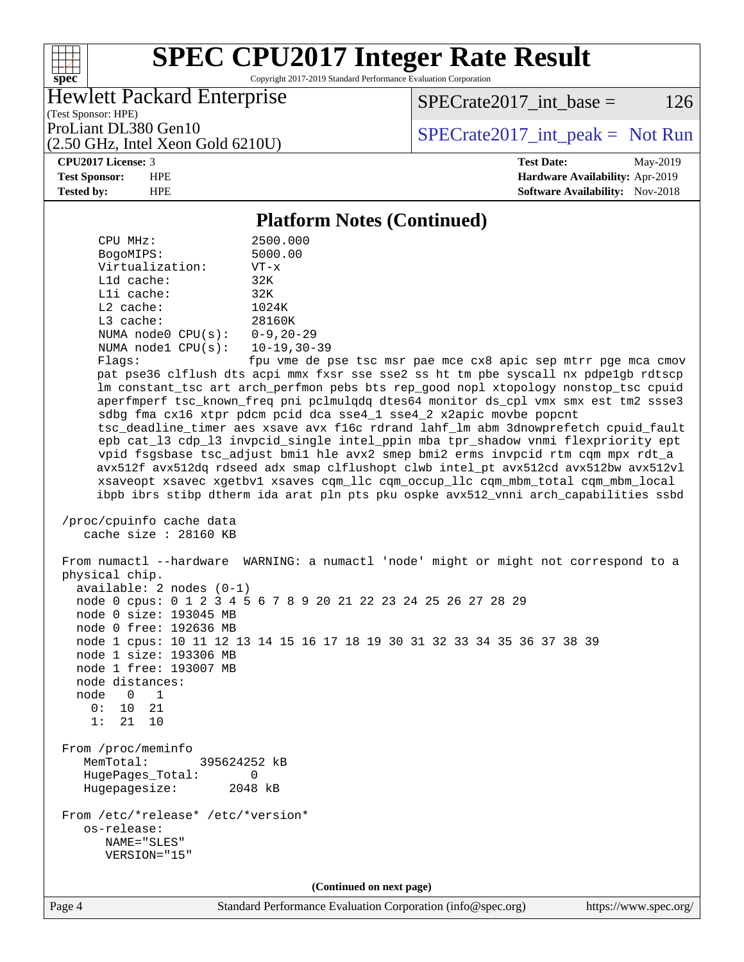

Copyright 2017-2019 Standard Performance Evaluation Corporation

#### Hewlett Packard Enterprise

 $SPECTate2017\_int\_base = 126$ 

(Test Sponsor: HPE) (2.50 GHz, Intel Xeon Gold 6210U)

ProLiant DL380 Gen10  $SPECrate2017$ \_int\_peak = Not Run

**[CPU2017 License:](http://www.spec.org/auto/cpu2017/Docs/result-fields.html#CPU2017License)** 3 **[Test Date:](http://www.spec.org/auto/cpu2017/Docs/result-fields.html#TestDate)** May-2019 **[Test Sponsor:](http://www.spec.org/auto/cpu2017/Docs/result-fields.html#TestSponsor)** HPE **[Hardware Availability:](http://www.spec.org/auto/cpu2017/Docs/result-fields.html#HardwareAvailability)** Apr-2019 **[Tested by:](http://www.spec.org/auto/cpu2017/Docs/result-fields.html#Testedby)** HPE **[Software Availability:](http://www.spec.org/auto/cpu2017/Docs/result-fields.html#SoftwareAvailability)** Nov-2018

#### **[Platform Notes \(Continued\)](http://www.spec.org/auto/cpu2017/Docs/result-fields.html#PlatformNotes)**

 CPU MHz: 2500.000 BogoMIPS: 5000.00<br>Virtualization: VT-x Virtualization: L1d cache: 32K L1i cache: 32K L2 cache: 1024K L3 cache: 28160K NUMA node0 CPU(s): 0-9,20-29 NUMA node1 CPU(s): 10-19,30-39 Flags: fpu vme de pse tsc msr pae mce cx8 apic sep mtrr pge mca cmov pat pse36 clflush dts acpi mmx fxsr sse sse2 ss ht tm pbe syscall nx pdpe1gb rdtscp lm constant\_tsc art arch\_perfmon pebs bts rep\_good nopl xtopology nonstop\_tsc cpuid aperfmperf tsc\_known\_freq pni pclmulqdq dtes64 monitor ds\_cpl vmx smx est tm2 ssse3 sdbg fma cx16 xtpr pdcm pcid dca sse4\_1 sse4\_2 x2apic movbe popcnt tsc\_deadline\_timer aes xsave avx f16c rdrand lahf\_lm abm 3dnowprefetch cpuid\_fault epb cat\_l3 cdp\_l3 invpcid\_single intel\_ppin mba tpr\_shadow vnmi flexpriority ept vpid fsgsbase tsc\_adjust bmi1 hle avx2 smep bmi2 erms invpcid rtm cqm mpx rdt\_a avx512f avx512dq rdseed adx smap clflushopt clwb intel\_pt avx512cd avx512bw avx512vl xsaveopt xsavec xgetbv1 xsaves cqm\_llc cqm\_occup\_llc cqm\_mbm\_total cqm\_mbm\_local ibpb ibrs stibp dtherm ida arat pln pts pku ospke avx512\_vnni arch\_capabilities ssbd /proc/cpuinfo cache data cache size : 28160 KB From numactl --hardware WARNING: a numactl 'node' might or might not correspond to a physical chip. available: 2 nodes (0-1) node 0 cpus: 0 1 2 3 4 5 6 7 8 9 20 21 22 23 24 25 26 27 28 29 node 0 size: 193045 MB node 0 free: 192636 MB node 1 cpus: 10 11 12 13 14 15 16 17 18 19 30 31 32 33 34 35 36 37 38 39 node 1 size: 193306 MB node 1 free: 193007 MB node distances: node 0 1 0: 10 21 1: 21 10 From /proc/meminfo MemTotal: 395624252 kB HugePages\_Total: 0 Hugepagesize: 2048 kB From /etc/\*release\* /etc/\*version\* os-release: NAME="SLES" VERSION="15" **(Continued on next page)**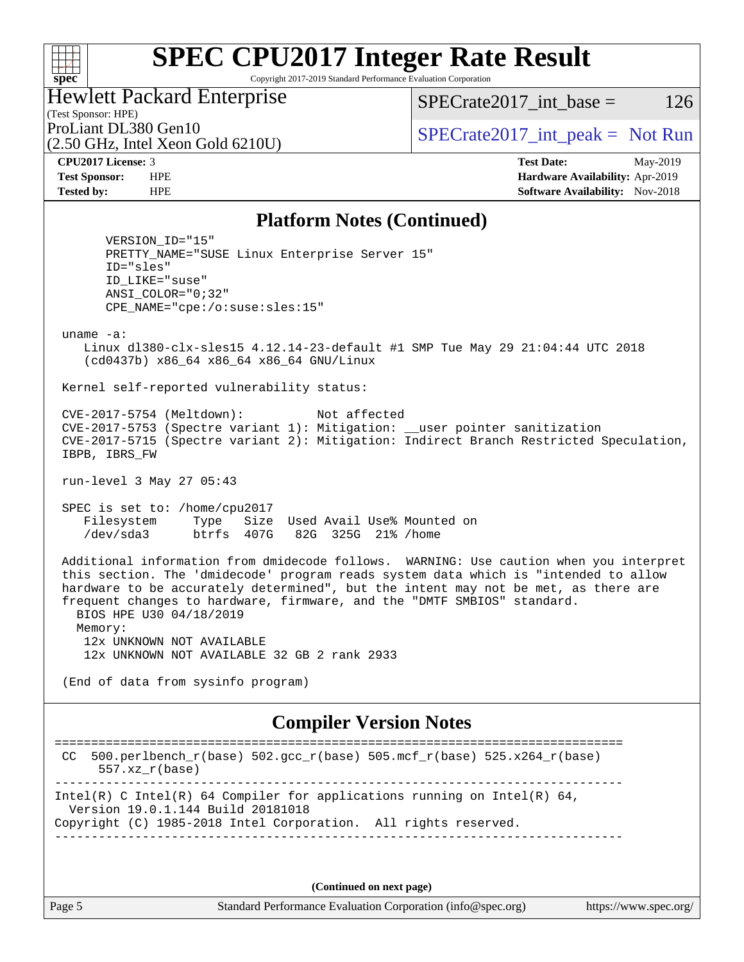#### **[SPEC CPU2017 Integer Rate Result](http://www.spec.org/auto/cpu2017/Docs/result-fields.html#SPECCPU2017IntegerRateResult)** Copyright 2017-2019 Standard Performance Evaluation Corporation

Hewlett Packard Enterprise

 $SPECTate2017\_int\_base = 126$ 

(Test Sponsor: HPE) (2.50 GHz, Intel Xeon Gold 6210U)

ProLiant DL380 Gen10  $SPECTA 50 \text{ GHz}$  [SPECrate2017\\_int\\_peak =](http://www.spec.org/auto/cpu2017/Docs/result-fields.html#SPECrate2017intpeak) Not Run

**[spec](http://www.spec.org/)**

 $+\!\!+\!\!$ 

**[CPU2017 License:](http://www.spec.org/auto/cpu2017/Docs/result-fields.html#CPU2017License)** 3 **[Test Date:](http://www.spec.org/auto/cpu2017/Docs/result-fields.html#TestDate)** May-2019 **[Test Sponsor:](http://www.spec.org/auto/cpu2017/Docs/result-fields.html#TestSponsor)** HPE **[Hardware Availability:](http://www.spec.org/auto/cpu2017/Docs/result-fields.html#HardwareAvailability)** Apr-2019 **[Tested by:](http://www.spec.org/auto/cpu2017/Docs/result-fields.html#Testedby)** HPE **[Software Availability:](http://www.spec.org/auto/cpu2017/Docs/result-fields.html#SoftwareAvailability)** Nov-2018

#### **[Platform Notes \(Continued\)](http://www.spec.org/auto/cpu2017/Docs/result-fields.html#PlatformNotes)**

 VERSION\_ID="15" PRETTY\_NAME="SUSE Linux Enterprise Server 15" ID="sles" ID\_LIKE="suse" ANSI\_COLOR="0;32" CPE\_NAME="cpe:/o:suse:sles:15" uname -a: Linux dl380-clx-sles15 4.12.14-23-default #1 SMP Tue May 29 21:04:44 UTC 2018 (cd0437b) x86\_64 x86\_64 x86\_64 GNU/Linux Kernel self-reported vulnerability status: CVE-2017-5754 (Meltdown): Not affected CVE-2017-5753 (Spectre variant 1): Mitigation: \_\_user pointer sanitization CVE-2017-5715 (Spectre variant 2): Mitigation: Indirect Branch Restricted Speculation, IBPB, IBRS\_FW run-level 3 May 27 05:43 SPEC is set to: /home/cpu2017 Filesystem Type Size Used Avail Use% Mounted on /dev/sda3 btrfs 407G 82G 325G 21% /home Additional information from dmidecode follows. WARNING: Use caution when you interpret this section. The 'dmidecode' program reads system data which is "intended to allow hardware to be accurately determined", but the intent may not be met, as there are frequent changes to hardware, firmware, and the "DMTF SMBIOS" standard. BIOS HPE U30 04/18/2019 Memory: 12x UNKNOWN NOT AVAILABLE 12x UNKNOWN NOT AVAILABLE 32 GB 2 rank 2933 (End of data from sysinfo program) **[Compiler Version Notes](http://www.spec.org/auto/cpu2017/Docs/result-fields.html#CompilerVersionNotes)** ============================================================================== CC 500.perlbench\_r(base)  $502.\text{gcc\_r}$ (base)  $505.\text{mcf\_r}$ (base)  $525.\text{x}$ 264\_r(base) 557.xz\_r(base)

Intel(R) C Intel(R) 64 Compiler for applications running on Intel(R)  $64$ , Version 19.0.1.144 Build 20181018

Copyright (C) 1985-2018 Intel Corporation. All rights reserved. ------------------------------------------------------------------------------

**(Continued on next page)**

------------------------------------------------------------------------------

Page 5 Standard Performance Evaluation Corporation [\(info@spec.org\)](mailto:info@spec.org) <https://www.spec.org/>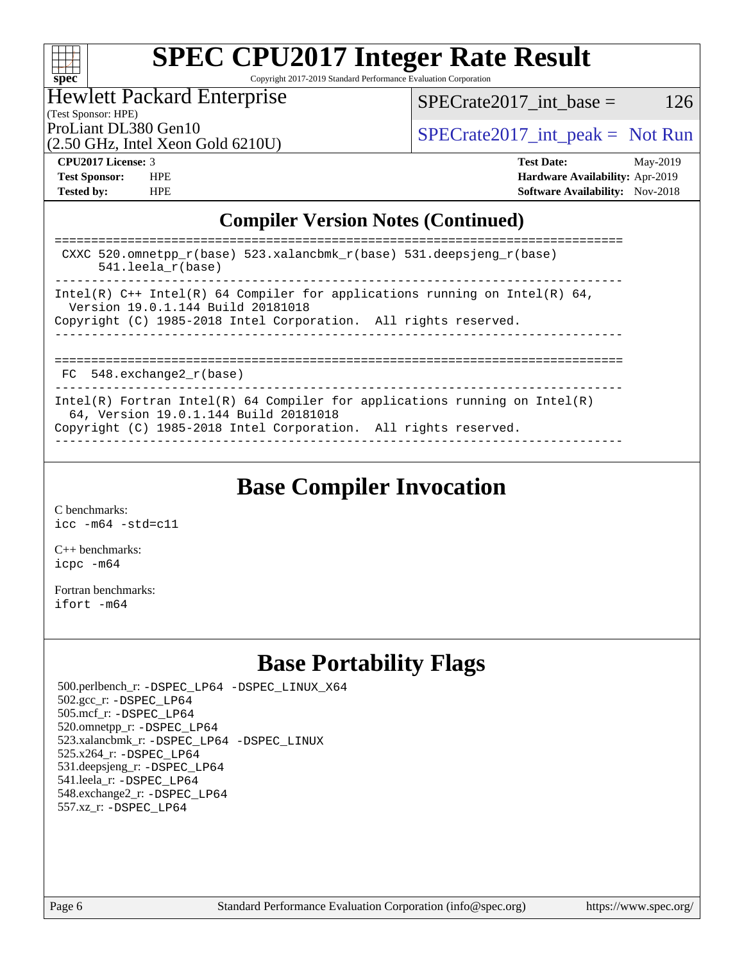

Copyright 2017-2019 Standard Performance Evaluation Corporation

#### Hewlett Packard Enterprise

 $SPECTate2017\_int\_base = 126$ 

(Test Sponsor: HPE)

(2.50 GHz, Intel Xeon Gold 6210U)

ProLiant DL380 Gen10  $SPECTA 50 \text{ GHz}$  [SPECrate2017\\_int\\_peak =](http://www.spec.org/auto/cpu2017/Docs/result-fields.html#SPECrate2017intpeak) Not Run

**[CPU2017 License:](http://www.spec.org/auto/cpu2017/Docs/result-fields.html#CPU2017License)** 3 **[Test Date:](http://www.spec.org/auto/cpu2017/Docs/result-fields.html#TestDate)** May-2019 **[Test Sponsor:](http://www.spec.org/auto/cpu2017/Docs/result-fields.html#TestSponsor)** HPE **[Hardware Availability:](http://www.spec.org/auto/cpu2017/Docs/result-fields.html#HardwareAvailability)** Apr-2019 **[Tested by:](http://www.spec.org/auto/cpu2017/Docs/result-fields.html#Testedby)** HPE **[Software Availability:](http://www.spec.org/auto/cpu2017/Docs/result-fields.html#SoftwareAvailability)** Nov-2018

#### **[Compiler Version Notes \(Continued\)](http://www.spec.org/auto/cpu2017/Docs/result-fields.html#CompilerVersionNotes)**

| CXXC 520.omnetpp $r(base)$ 523.xalancbmk $r(base)$ 531.deepsjeng $r(base)$<br>$541.$ leela r(base)                                                                                     |
|----------------------------------------------------------------------------------------------------------------------------------------------------------------------------------------|
| Intel(R) C++ Intel(R) 64 Compiler for applications running on Intel(R) 64,<br>Version 19.0.1.144 Build 20181018<br>Copyright (C) 1985-2018 Intel Corporation. All rights reserved.     |
| FC 548. exchange2 r(base)                                                                                                                                                              |
| Intel(R) Fortran Intel(R) 64 Compiler for applications running on Intel(R)<br>64, Version 19.0.1.144 Build 20181018<br>Copyright (C) 1985-2018 Intel Corporation. All rights reserved. |

### **[Base Compiler Invocation](http://www.spec.org/auto/cpu2017/Docs/result-fields.html#BaseCompilerInvocation)**

[C benchmarks](http://www.spec.org/auto/cpu2017/Docs/result-fields.html#Cbenchmarks): [icc -m64 -std=c11](http://www.spec.org/cpu2017/results/res2019q3/cpu2017-20190624-15569.flags.html#user_CCbase_intel_icc_64bit_c11_33ee0cdaae7deeeab2a9725423ba97205ce30f63b9926c2519791662299b76a0318f32ddfffdc46587804de3178b4f9328c46fa7c2b0cd779d7a61945c91cd35)

[C++ benchmarks:](http://www.spec.org/auto/cpu2017/Docs/result-fields.html#CXXbenchmarks) [icpc -m64](http://www.spec.org/cpu2017/results/res2019q3/cpu2017-20190624-15569.flags.html#user_CXXbase_intel_icpc_64bit_4ecb2543ae3f1412ef961e0650ca070fec7b7afdcd6ed48761b84423119d1bf6bdf5cad15b44d48e7256388bc77273b966e5eb805aefd121eb22e9299b2ec9d9)

[Fortran benchmarks](http://www.spec.org/auto/cpu2017/Docs/result-fields.html#Fortranbenchmarks): [ifort -m64](http://www.spec.org/cpu2017/results/res2019q3/cpu2017-20190624-15569.flags.html#user_FCbase_intel_ifort_64bit_24f2bb282fbaeffd6157abe4f878425411749daecae9a33200eee2bee2fe76f3b89351d69a8130dd5949958ce389cf37ff59a95e7a40d588e8d3a57e0c3fd751)

### **[Base Portability Flags](http://www.spec.org/auto/cpu2017/Docs/result-fields.html#BasePortabilityFlags)**

 500.perlbench\_r: [-DSPEC\\_LP64](http://www.spec.org/cpu2017/results/res2019q3/cpu2017-20190624-15569.flags.html#b500.perlbench_r_basePORTABILITY_DSPEC_LP64) [-DSPEC\\_LINUX\\_X64](http://www.spec.org/cpu2017/results/res2019q3/cpu2017-20190624-15569.flags.html#b500.perlbench_r_baseCPORTABILITY_DSPEC_LINUX_X64) 502.gcc\_r: [-DSPEC\\_LP64](http://www.spec.org/cpu2017/results/res2019q3/cpu2017-20190624-15569.flags.html#suite_basePORTABILITY502_gcc_r_DSPEC_LP64) 505.mcf\_r: [-DSPEC\\_LP64](http://www.spec.org/cpu2017/results/res2019q3/cpu2017-20190624-15569.flags.html#suite_basePORTABILITY505_mcf_r_DSPEC_LP64) 520.omnetpp\_r: [-DSPEC\\_LP64](http://www.spec.org/cpu2017/results/res2019q3/cpu2017-20190624-15569.flags.html#suite_basePORTABILITY520_omnetpp_r_DSPEC_LP64) 523.xalancbmk\_r: [-DSPEC\\_LP64](http://www.spec.org/cpu2017/results/res2019q3/cpu2017-20190624-15569.flags.html#suite_basePORTABILITY523_xalancbmk_r_DSPEC_LP64) [-DSPEC\\_LINUX](http://www.spec.org/cpu2017/results/res2019q3/cpu2017-20190624-15569.flags.html#b523.xalancbmk_r_baseCXXPORTABILITY_DSPEC_LINUX) 525.x264\_r: [-DSPEC\\_LP64](http://www.spec.org/cpu2017/results/res2019q3/cpu2017-20190624-15569.flags.html#suite_basePORTABILITY525_x264_r_DSPEC_LP64) 531.deepsjeng\_r: [-DSPEC\\_LP64](http://www.spec.org/cpu2017/results/res2019q3/cpu2017-20190624-15569.flags.html#suite_basePORTABILITY531_deepsjeng_r_DSPEC_LP64) 541.leela\_r: [-DSPEC\\_LP64](http://www.spec.org/cpu2017/results/res2019q3/cpu2017-20190624-15569.flags.html#suite_basePORTABILITY541_leela_r_DSPEC_LP64) 548.exchange2\_r: [-DSPEC\\_LP64](http://www.spec.org/cpu2017/results/res2019q3/cpu2017-20190624-15569.flags.html#suite_basePORTABILITY548_exchange2_r_DSPEC_LP64) 557.xz\_r: [-DSPEC\\_LP64](http://www.spec.org/cpu2017/results/res2019q3/cpu2017-20190624-15569.flags.html#suite_basePORTABILITY557_xz_r_DSPEC_LP64)